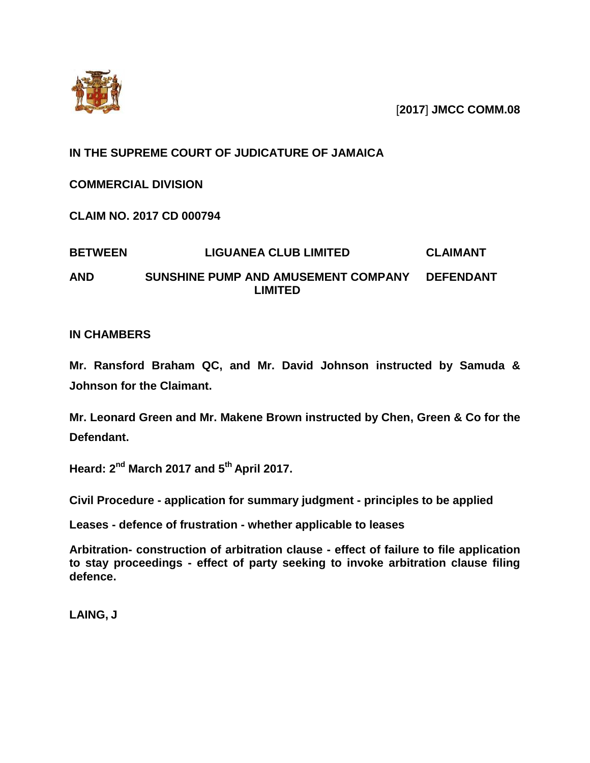

[**2017**] **JMCC COMM.08**

# **IN THE SUPREME COURT OF JUDICATURE OF JAMAICA**

**COMMERCIAL DIVISION**

**CLAIM NO. 2017 CD 000794**

### **BETWEEN LIGUANEA CLUB LIMITED CLAIMANT AND SUNSHINE PUMP AND AMUSEMENT COMPANY LIMITED DEFENDANT**

# **IN CHAMBERS**

**Mr. Ransford Braham QC, and Mr. David Johnson instructed by Samuda & Johnson for the Claimant.**

**Mr. Leonard Green and Mr. Makene Brown instructed by Chen, Green & Co for the Defendant.**

**Heard: 2 nd March 2017 and 5 th April 2017.**

**Civil Procedure - application for summary judgment - principles to be applied** 

**Leases - defence of frustration - whether applicable to leases**

**Arbitration- construction of arbitration clause - effect of failure to file application to stay proceedings - effect of party seeking to invoke arbitration clause filing defence.**

**LAING, J**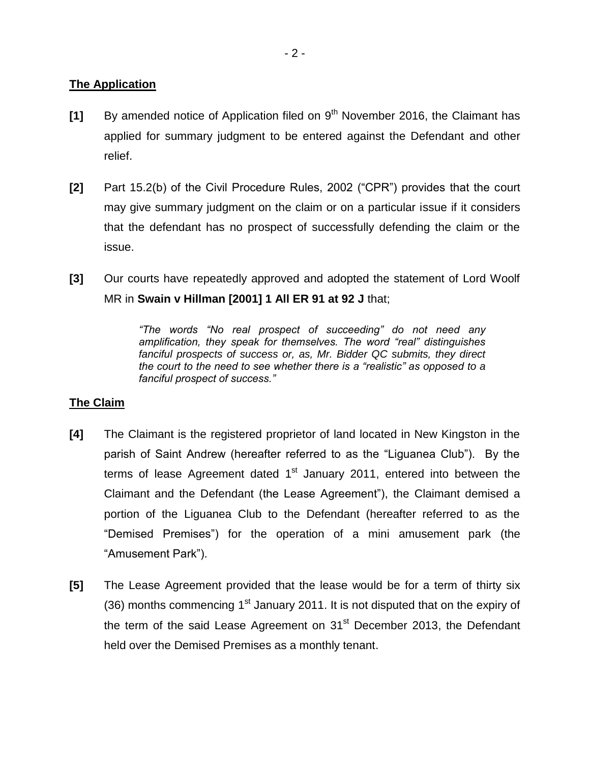# **The Application**

- [1] By amended notice of Application filed on 9<sup>th</sup> November 2016, the Claimant has applied for summary judgment to be entered against the Defendant and other relief.
- **[2]** Part 15.2(b) of the Civil Procedure Rules, 2002 ("CPR") provides that the court may give summary judgment on the claim or on a particular issue if it considers that the defendant has no prospect of successfully defending the claim or the issue.
- **[3]** Our courts have repeatedly approved and adopted the statement of Lord Woolf MR in **Swain v Hillman [2001] 1 All ER 91 at 92 J** that;

*"The words "No real prospect of succeeding" do not need any amplification, they speak for themselves. The word "real" distinguishes fanciful prospects of success or, as, Mr. Bidder QC submits, they direct the court to the need to see whether there is a "realistic" as opposed to a fanciful prospect of success."*

# **The Claim**

- **[4]** The Claimant is the registered proprietor of land located in New Kingston in the parish of Saint Andrew (hereafter referred to as the "Liguanea Club"). By the terms of lease Agreement dated 1<sup>st</sup> January 2011, entered into between the Claimant and the Defendant (the Lease Agreement"), the Claimant demised a portion of the Liguanea Club to the Defendant (hereafter referred to as the "Demised Premises") for the operation of a mini amusement park (the "Amusement Park").
- **[5]** The Lease Agreement provided that the lease would be for a term of thirty six (36) months commencing  $1<sup>st</sup>$  January 2011. It is not disputed that on the expiry of the term of the said Lease Agreement on 31<sup>st</sup> December 2013, the Defendant held over the Demised Premises as a monthly tenant.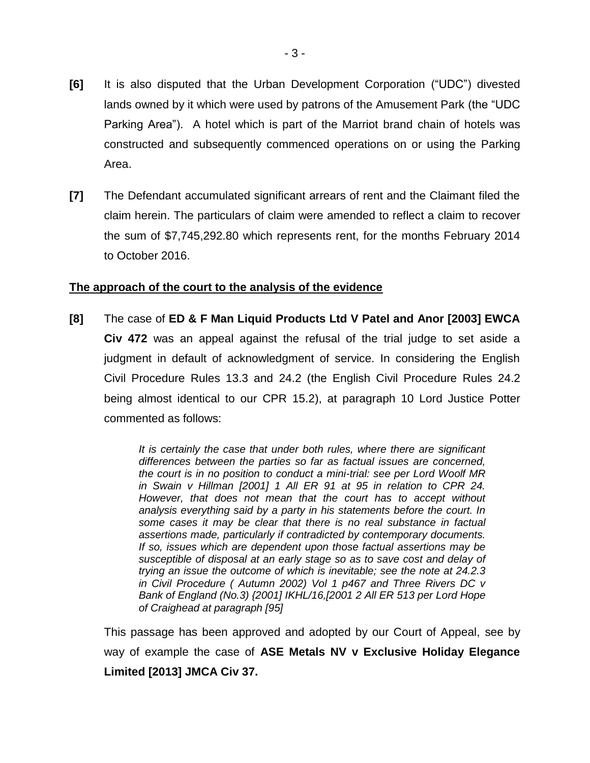- **[6]** It is also disputed that the Urban Development Corporation ("UDC") divested lands owned by it which were used by patrons of the Amusement Park (the "UDC Parking Area"). A hotel which is part of the Marriot brand chain of hotels was constructed and subsequently commenced operations on or using the Parking Area.
- **[7]** The Defendant accumulated significant arrears of rent and the Claimant filed the claim herein. The particulars of claim were amended to reflect a claim to recover the sum of \$7,745,292.80 which represents rent, for the months February 2014 to October 2016.

# **The approach of the court to the analysis of the evidence**

**[8]** The case of **ED & F Man Liquid Products Ltd V Patel and Anor [2003] EWCA Civ 472** was an appeal against the refusal of the trial judge to set aside a judgment in default of acknowledgment of service. In considering the English Civil Procedure Rules 13.3 and 24.2 (the English Civil Procedure Rules 24.2 being almost identical to our CPR 15.2), at paragraph 10 Lord Justice Potter commented as follows:

> *It is certainly the case that under both rules, where there are significant differences between the parties so far as factual issues are concerned, the court is in no position to conduct a mini-trial: see per Lord Woolf MR in Swain v Hillman [2001] 1 All ER 91 at 95 in relation to CPR 24. However, that does not mean that the court has to accept without analysis everything said by a party in his statements before the court. In some cases it may be clear that there is no real substance in factual assertions made, particularly if contradicted by contemporary documents. If so, issues which are dependent upon those factual assertions may be susceptible of disposal at an early stage so as to save cost and delay of trying an issue the outcome of which is inevitable; see the note at 24.2.3 in Civil Procedure ( Autumn 2002) Vol 1 p467 and Three Rivers DC v Bank of England (No.3) {2001] IKHL/16,[2001 2 All ER 513 per Lord Hope of Craighead at paragraph [95]*

This passage has been approved and adopted by our Court of Appeal, see by way of example the case of **ASE Metals NV v Exclusive Holiday Elegance Limited [2013] JMCA Civ 37.**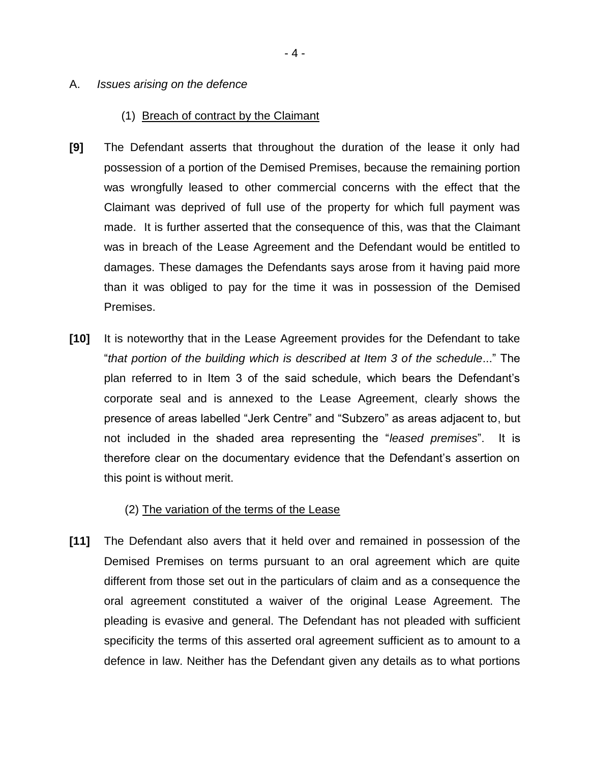#### A. *Issues arising on the defence*

#### (1) Breach of contract by the Claimant

- **[9]** The Defendant asserts that throughout the duration of the lease it only had possession of a portion of the Demised Premises, because the remaining portion was wrongfully leased to other commercial concerns with the effect that the Claimant was deprived of full use of the property for which full payment was made. It is further asserted that the consequence of this, was that the Claimant was in breach of the Lease Agreement and the Defendant would be entitled to damages. These damages the Defendants says arose from it having paid more than it was obliged to pay for the time it was in possession of the Demised Premises.
- **[10]** It is noteworthy that in the Lease Agreement provides for the Defendant to take "*that portion of the building which is described at Item 3 of the schedule*..." The plan referred to in Item 3 of the said schedule, which bears the Defendant's corporate seal and is annexed to the Lease Agreement, clearly shows the presence of areas labelled "Jerk Centre" and "Subzero" as areas adjacent to, but not included in the shaded area representing the "*leased premises*". It is therefore clear on the documentary evidence that the Defendant's assertion on this point is without merit.

#### (2) The variation of the terms of the Lease

**[11]** The Defendant also avers that it held over and remained in possession of the Demised Premises on terms pursuant to an oral agreement which are quite different from those set out in the particulars of claim and as a consequence the oral agreement constituted a waiver of the original Lease Agreement. The pleading is evasive and general. The Defendant has not pleaded with sufficient specificity the terms of this asserted oral agreement sufficient as to amount to a defence in law. Neither has the Defendant given any details as to what portions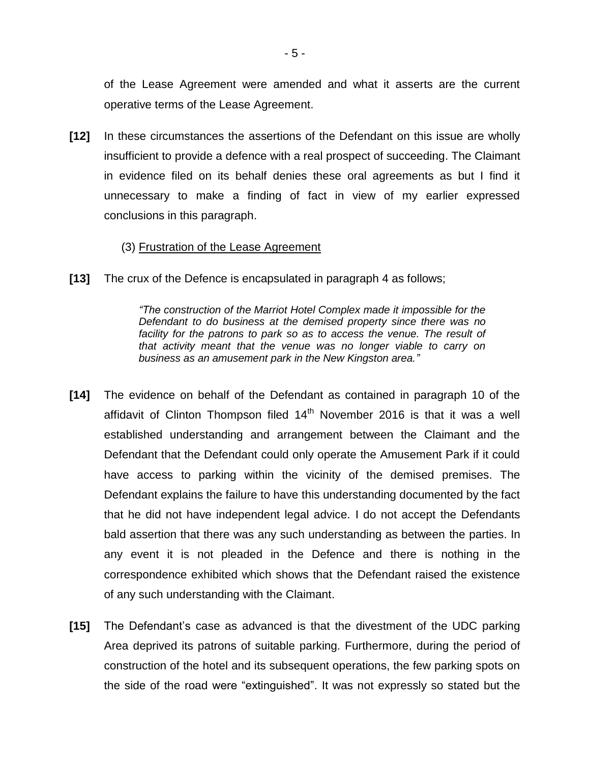of the Lease Agreement were amended and what it asserts are the current operative terms of the Lease Agreement.

**[12]** In these circumstances the assertions of the Defendant on this issue are wholly insufficient to provide a defence with a real prospect of succeeding. The Claimant in evidence filed on its behalf denies these oral agreements as but I find it unnecessary to make a finding of fact in view of my earlier expressed conclusions in this paragraph.

### (3) Frustration of the Lease Agreement

**[13]** The crux of the Defence is encapsulated in paragraph 4 as follows;

*"The construction of the Marriot Hotel Complex made it impossible for the Defendant to do business at the demised property since there was no*  facility for the patrons to park so as to access the venue. The result of *that activity meant that the venue was no longer viable to carry on business as an amusement park in the New Kingston area."*

- **[14]** The evidence on behalf of the Defendant as contained in paragraph 10 of the affidavit of Clinton Thompson filed  $14<sup>th</sup>$  November 2016 is that it was a well established understanding and arrangement between the Claimant and the Defendant that the Defendant could only operate the Amusement Park if it could have access to parking within the vicinity of the demised premises. The Defendant explains the failure to have this understanding documented by the fact that he did not have independent legal advice. I do not accept the Defendants bald assertion that there was any such understanding as between the parties. In any event it is not pleaded in the Defence and there is nothing in the correspondence exhibited which shows that the Defendant raised the existence of any such understanding with the Claimant.
- **[15]** The Defendant's case as advanced is that the divestment of the UDC parking Area deprived its patrons of suitable parking. Furthermore, during the period of construction of the hotel and its subsequent operations, the few parking spots on the side of the road were "extinguished". It was not expressly so stated but the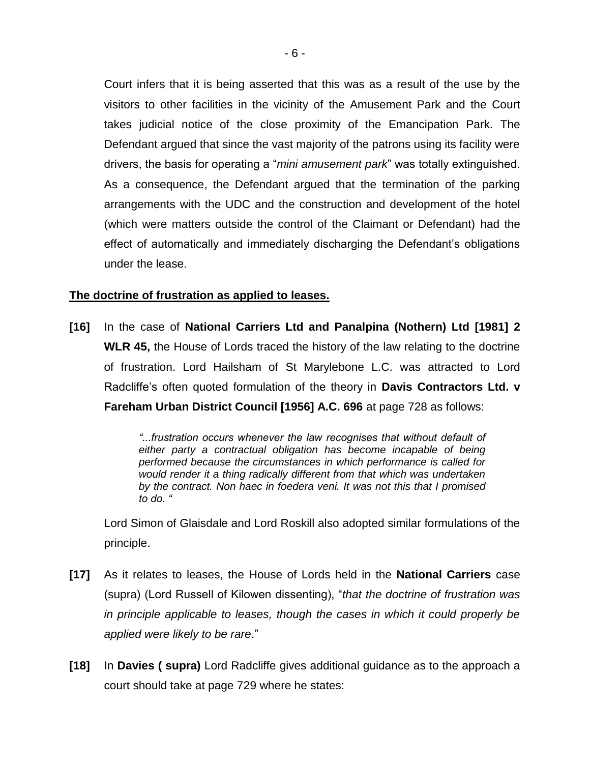Court infers that it is being asserted that this was as a result of the use by the visitors to other facilities in the vicinity of the Amusement Park and the Court takes judicial notice of the close proximity of the Emancipation Park. The Defendant argued that since the vast majority of the patrons using its facility were drivers, the basis for operating a "*mini amusement park*" was totally extinguished. As a consequence, the Defendant argued that the termination of the parking arrangements with the UDC and the construction and development of the hotel (which were matters outside the control of the Claimant or Defendant) had the effect of automatically and immediately discharging the Defendant's obligations under the lease.

# **The doctrine of frustration as applied to leases.**

**[16]** In the case of **National Carriers Ltd and Panalpina (Nothern) Ltd [1981] 2 WLR 45,** the House of Lords traced the history of the law relating to the doctrine of frustration. Lord Hailsham of St Marylebone L.C. was attracted to Lord Radcliffe's often quoted formulation of the theory in **Davis Contractors Ltd. v Fareham Urban District Council [1956] A.C. 696** at page 728 as follows:

> *"...frustration occurs whenever the law recognises that without default of either party a contractual obligation has become incapable of being performed because the circumstances in which performance is called for would render it a thing radically different from that which was undertaken by the contract. Non haec in foedera veni. It was not this that I promised to do. "*

Lord Simon of Glaisdale and Lord Roskill also adopted similar formulations of the principle.

- **[17]** As it relates to leases, the House of Lords held in the **National Carriers** case (supra) (Lord Russell of Kilowen dissenting), "*that the doctrine of frustration was in principle applicable to leases, though the cases in which it could properly be applied were likely to be rare*."
- **[18]** In **Davies ( supra)** Lord Radcliffe gives additional guidance as to the approach a court should take at page 729 where he states: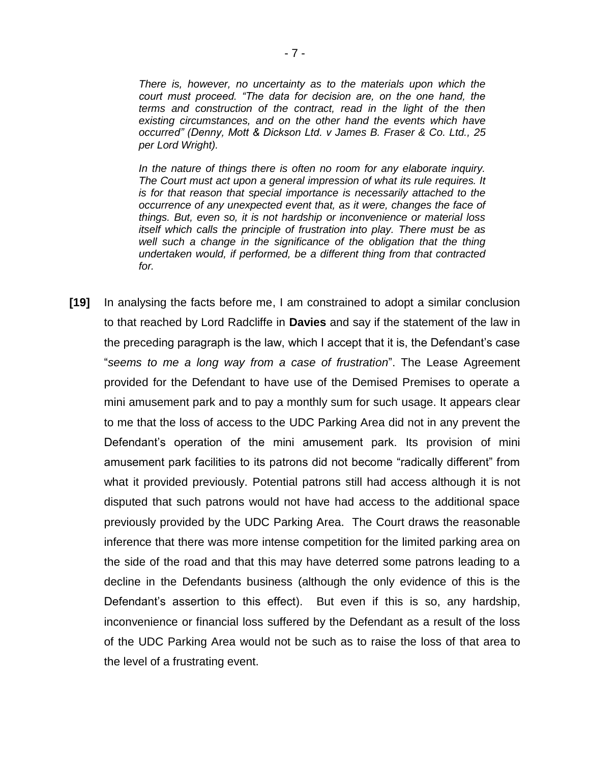*There is, however, no uncertainty as to the materials upon which the court must proceed. "The data for decision are, on the one hand, the terms and construction of the contract, read in the light of the then existing circumstances, and on the other hand the events which have occurred" (Denny, Mott & Dickson Ltd. v James B. Fraser & Co. Ltd., 25 per Lord Wright).*

*In the nature of things there is often no room for any elaborate inquiry. The Court must act upon a general impression of what its rule requires. It is for that reason that special importance is necessarily attached to the occurrence of any unexpected event that, as it were, changes the face of things. But, even so, it is not hardship or inconvenience or material loss itself which calls the principle of frustration into play. There must be as*  well such a change in the significance of the obligation that the thing *undertaken would, if performed, be a different thing from that contracted for.*

**[19]** In analysing the facts before me, I am constrained to adopt a similar conclusion to that reached by Lord Radcliffe in **Davies** and say if the statement of the law in the preceding paragraph is the law, which I accept that it is, the Defendant's case "*seems to me a long way from a case of frustration*". The Lease Agreement provided for the Defendant to have use of the Demised Premises to operate a mini amusement park and to pay a monthly sum for such usage. It appears clear to me that the loss of access to the UDC Parking Area did not in any prevent the Defendant's operation of the mini amusement park. Its provision of mini amusement park facilities to its patrons did not become "radically different" from what it provided previously. Potential patrons still had access although it is not disputed that such patrons would not have had access to the additional space previously provided by the UDC Parking Area. The Court draws the reasonable inference that there was more intense competition for the limited parking area on the side of the road and that this may have deterred some patrons leading to a decline in the Defendants business (although the only evidence of this is the Defendant's assertion to this effect). But even if this is so, any hardship, inconvenience or financial loss suffered by the Defendant as a result of the loss of the UDC Parking Area would not be such as to raise the loss of that area to the level of a frustrating event.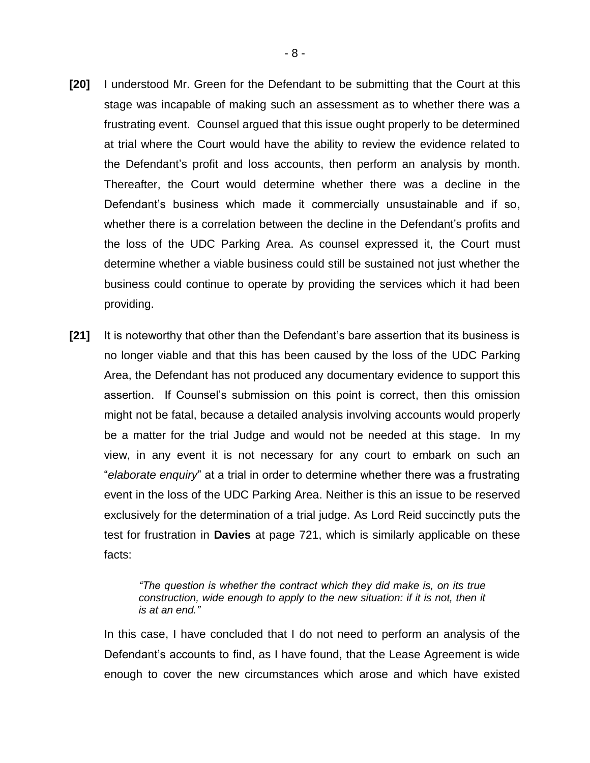- **[20]** I understood Mr. Green for the Defendant to be submitting that the Court at this stage was incapable of making such an assessment as to whether there was a frustrating event. Counsel argued that this issue ought properly to be determined at trial where the Court would have the ability to review the evidence related to the Defendant's profit and loss accounts, then perform an analysis by month. Thereafter, the Court would determine whether there was a decline in the Defendant's business which made it commercially unsustainable and if so, whether there is a correlation between the decline in the Defendant's profits and the loss of the UDC Parking Area. As counsel expressed it, the Court must determine whether a viable business could still be sustained not just whether the business could continue to operate by providing the services which it had been providing.
- **[21]** It is noteworthy that other than the Defendant's bare assertion that its business is no longer viable and that this has been caused by the loss of the UDC Parking Area, the Defendant has not produced any documentary evidence to support this assertion. If Counsel's submission on this point is correct, then this omission might not be fatal, because a detailed analysis involving accounts would properly be a matter for the trial Judge and would not be needed at this stage. In my view, in any event it is not necessary for any court to embark on such an "*elaborate enquiry*" at a trial in order to determine whether there was a frustrating event in the loss of the UDC Parking Area. Neither is this an issue to be reserved exclusively for the determination of a trial judge. As Lord Reid succinctly puts the test for frustration in **Davies** at page 721, which is similarly applicable on these facts:

*"The question is whether the contract which they did make is, on its true construction, wide enough to apply to the new situation: if it is not, then it is at an end."*

In this case, I have concluded that I do not need to perform an analysis of the Defendant's accounts to find, as I have found, that the Lease Agreement is wide enough to cover the new circumstances which arose and which have existed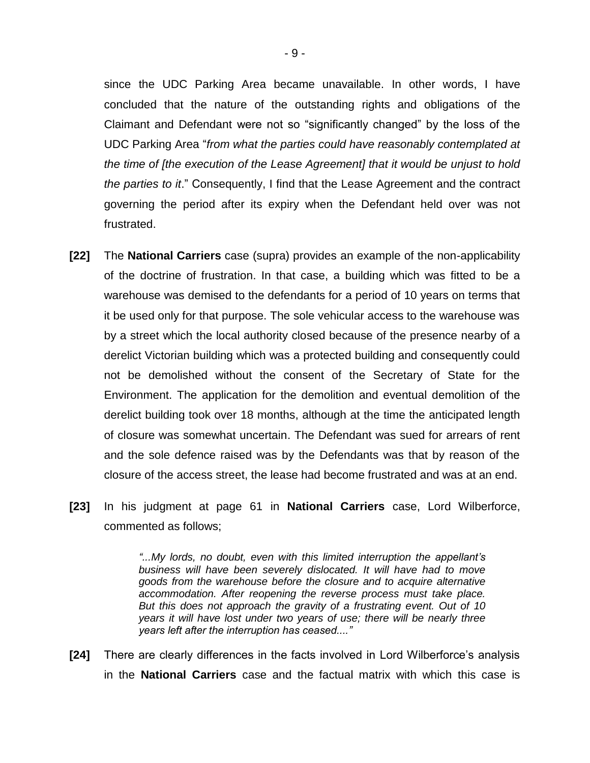since the UDC Parking Area became unavailable. In other words, I have concluded that the nature of the outstanding rights and obligations of the Claimant and Defendant were not so "significantly changed" by the loss of the UDC Parking Area "*from what the parties could have reasonably contemplated at the time of [the execution of the Lease Agreement] that it would be unjust to hold the parties to it*." Consequently, I find that the Lease Agreement and the contract governing the period after its expiry when the Defendant held over was not frustrated.

- **[22]** The **National Carriers** case (supra) provides an example of the non-applicability of the doctrine of frustration. In that case, a building which was fitted to be a warehouse was demised to the defendants for a period of 10 years on terms that it be used only for that purpose. The sole vehicular access to the warehouse was by a street which the local authority closed because of the presence nearby of a derelict Victorian building which was a protected building and consequently could not be demolished without the consent of the Secretary of State for the Environment. The application for the demolition and eventual demolition of the derelict building took over 18 months, although at the time the anticipated length of closure was somewhat uncertain. The Defendant was sued for arrears of rent and the sole defence raised was by the Defendants was that by reason of the closure of the access street, the lease had become frustrated and was at an end.
- **[23]** In his judgment at page 61 in **National Carriers** case, Lord Wilberforce, commented as follows;

*"...My lords, no doubt, even with this limited interruption the appellant's business will have been severely dislocated. It will have had to move goods from the warehouse before the closure and to acquire alternative accommodation. After reopening the reverse process must take place. But this does not approach the gravity of a frustrating event. Out of 10 years it will have lost under two years of use; there will be nearly three years left after the interruption has ceased...."*

**[24]** There are clearly differences in the facts involved in Lord Wilberforce's analysis in the **National Carriers** case and the factual matrix with which this case is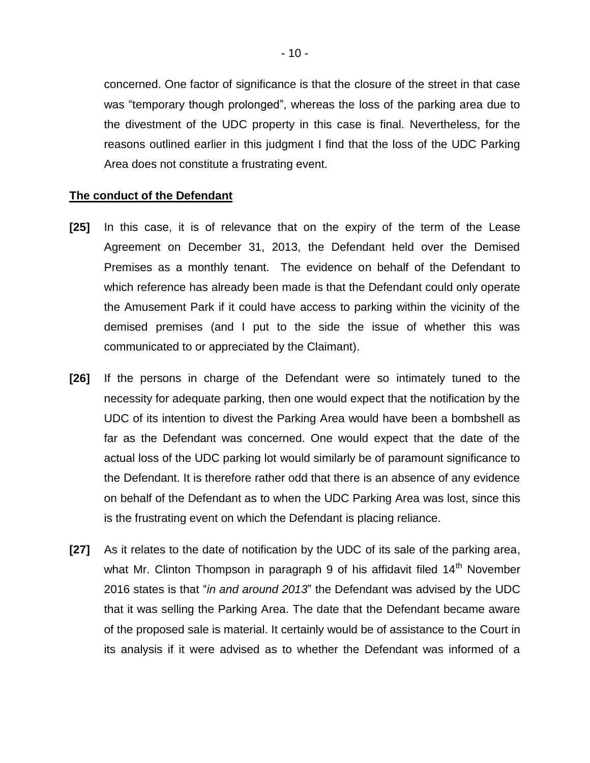concerned. One factor of significance is that the closure of the street in that case was "temporary though prolonged", whereas the loss of the parking area due to the divestment of the UDC property in this case is final. Nevertheless, for the reasons outlined earlier in this judgment I find that the loss of the UDC Parking Area does not constitute a frustrating event.

#### **The conduct of the Defendant**

- **[25]** In this case, it is of relevance that on the expiry of the term of the Lease Agreement on December 31, 2013, the Defendant held over the Demised Premises as a monthly tenant. The evidence on behalf of the Defendant to which reference has already been made is that the Defendant could only operate the Amusement Park if it could have access to parking within the vicinity of the demised premises (and I put to the side the issue of whether this was communicated to or appreciated by the Claimant).
- **[26]** If the persons in charge of the Defendant were so intimately tuned to the necessity for adequate parking, then one would expect that the notification by the UDC of its intention to divest the Parking Area would have been a bombshell as far as the Defendant was concerned. One would expect that the date of the actual loss of the UDC parking lot would similarly be of paramount significance to the Defendant. It is therefore rather odd that there is an absence of any evidence on behalf of the Defendant as to when the UDC Parking Area was lost, since this is the frustrating event on which the Defendant is placing reliance.
- **[27]** As it relates to the date of notification by the UDC of its sale of the parking area, what Mr. Clinton Thompson in paragraph 9 of his affidavit filed 14<sup>th</sup> November 2016 states is that "*in and around 2013*" the Defendant was advised by the UDC that it was selling the Parking Area. The date that the Defendant became aware of the proposed sale is material. It certainly would be of assistance to the Court in its analysis if it were advised as to whether the Defendant was informed of a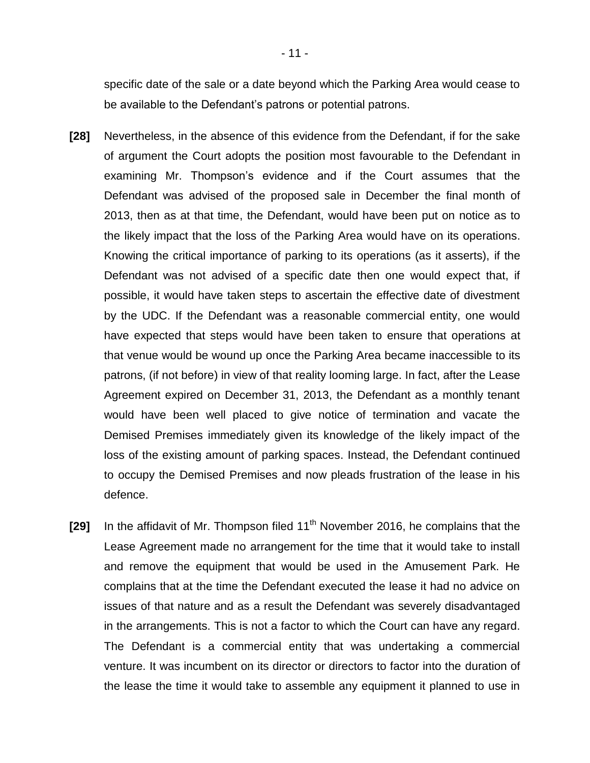specific date of the sale or a date beyond which the Parking Area would cease to be available to the Defendant's patrons or potential patrons.

- **[28]** Nevertheless, in the absence of this evidence from the Defendant, if for the sake of argument the Court adopts the position most favourable to the Defendant in examining Mr. Thompson's evidence and if the Court assumes that the Defendant was advised of the proposed sale in December the final month of 2013, then as at that time, the Defendant, would have been put on notice as to the likely impact that the loss of the Parking Area would have on its operations. Knowing the critical importance of parking to its operations (as it asserts), if the Defendant was not advised of a specific date then one would expect that, if possible, it would have taken steps to ascertain the effective date of divestment by the UDC. If the Defendant was a reasonable commercial entity, one would have expected that steps would have been taken to ensure that operations at that venue would be wound up once the Parking Area became inaccessible to its patrons, (if not before) in view of that reality looming large. In fact, after the Lease Agreement expired on December 31, 2013, the Defendant as a monthly tenant would have been well placed to give notice of termination and vacate the Demised Premises immediately given its knowledge of the likely impact of the loss of the existing amount of parking spaces. Instead, the Defendant continued to occupy the Demised Premises and now pleads frustration of the lease in his defence.
- **[29]** In the affidavit of Mr. Thompson filed 11<sup>th</sup> November 2016, he complains that the Lease Agreement made no arrangement for the time that it would take to install and remove the equipment that would be used in the Amusement Park. He complains that at the time the Defendant executed the lease it had no advice on issues of that nature and as a result the Defendant was severely disadvantaged in the arrangements. This is not a factor to which the Court can have any regard. The Defendant is a commercial entity that was undertaking a commercial venture. It was incumbent on its director or directors to factor into the duration of the lease the time it would take to assemble any equipment it planned to use in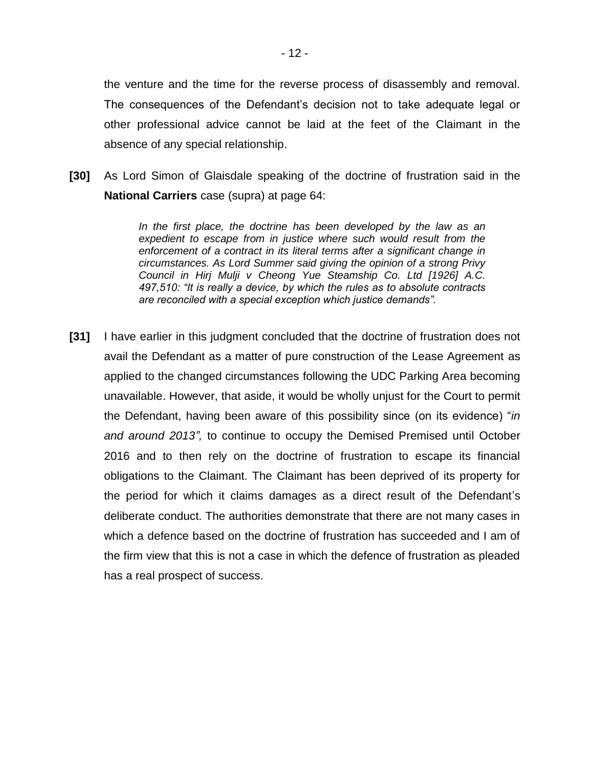the venture and the time for the reverse process of disassembly and removal. The consequences of the Defendant's decision not to take adequate legal or other professional advice cannot be laid at the feet of the Claimant in the absence of any special relationship.

**[30]** As Lord Simon of Glaisdale speaking of the doctrine of frustration said in the **National Carriers** case (supra) at page 64:

> *In the first place, the doctrine has been developed by the law as an expedient to escape from in justice where such would result from the enforcement of a contract in its literal terms after a significant change in circumstances. As Lord Summer said giving the opinion of a strong Privy Council in Hirj Mulji v Cheong Yue Steamship Co. Ltd [1926] A.C. 497,510: "It is really a device, by which the rules as to absolute contracts are reconciled with a special exception which justice demands".*

**[31]** I have earlier in this judgment concluded that the doctrine of frustration does not avail the Defendant as a matter of pure construction of the Lease Agreement as applied to the changed circumstances following the UDC Parking Area becoming unavailable. However, that aside, it would be wholly unjust for the Court to permit the Defendant, having been aware of this possibility since (on its evidence) "*in and around 2013",* to continue to occupy the Demised Premised until October 2016 and to then rely on the doctrine of frustration to escape its financial obligations to the Claimant. The Claimant has been deprived of its property for the period for which it claims damages as a direct result of the Defendant's deliberate conduct. The authorities demonstrate that there are not many cases in which a defence based on the doctrine of frustration has succeeded and I am of the firm view that this is not a case in which the defence of frustration as pleaded has a real prospect of success.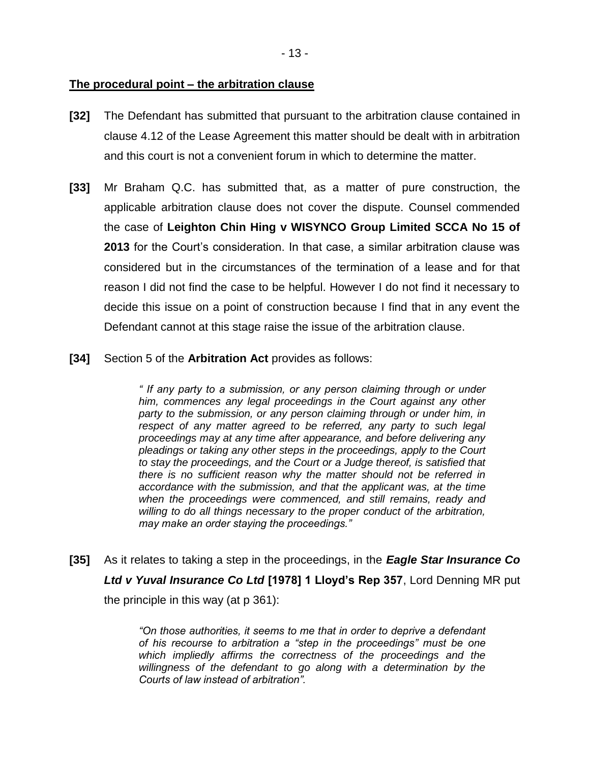# **The procedural point – the arbitration clause**

- **[32]** The Defendant has submitted that pursuant to the arbitration clause contained in clause 4.12 of the Lease Agreement this matter should be dealt with in arbitration and this court is not a convenient forum in which to determine the matter.
- **[33]** Mr Braham Q.C. has submitted that, as a matter of pure construction, the applicable arbitration clause does not cover the dispute. Counsel commended the case of **Leighton Chin Hing v WISYNCO Group Limited SCCA No 15 of 2013** for the Court's consideration. In that case, a similar arbitration clause was considered but in the circumstances of the termination of a lease and for that reason I did not find the case to be helpful. However I do not find it necessary to decide this issue on a point of construction because I find that in any event the Defendant cannot at this stage raise the issue of the arbitration clause.
- **[34]** Section 5 of the **Arbitration Act** provides as follows:

*" If any party to a submission, or any person claiming through or under him, commences any legal proceedings in the Court against any other*  party to the submission, or any person claiming through or under him, in respect of any matter agreed to be referred, any party to such legal *proceedings may at any time after appearance, and before delivering any pleadings or taking any other steps in the proceedings, apply to the Court to stay the proceedings, and the Court or a Judge thereof, is satisfied that there is no sufficient reason why the matter should not be referred in accordance with the submission, and that the applicant was, at the time when the proceedings were commenced, and still remains, ready and willing to do all things necessary to the proper conduct of the arbitration, may make an order staying the proceedings."*

**[35]** As it relates to taking a step in the proceedings, in the *Eagle Star Insurance Co Ltd v Yuval Insurance Co Ltd* **[1978] 1 Lloyd's Rep 357**, Lord Denning MR put the principle in this way (at p 361):

> *"On those authorities, it seems to me that in order to deprive a defendant of his recourse to arbitration a "step in the proceedings" must be one which impliedly affirms the correctness of the proceedings and the willingness of the defendant to go along with a determination by the Courts of law instead of arbitration".*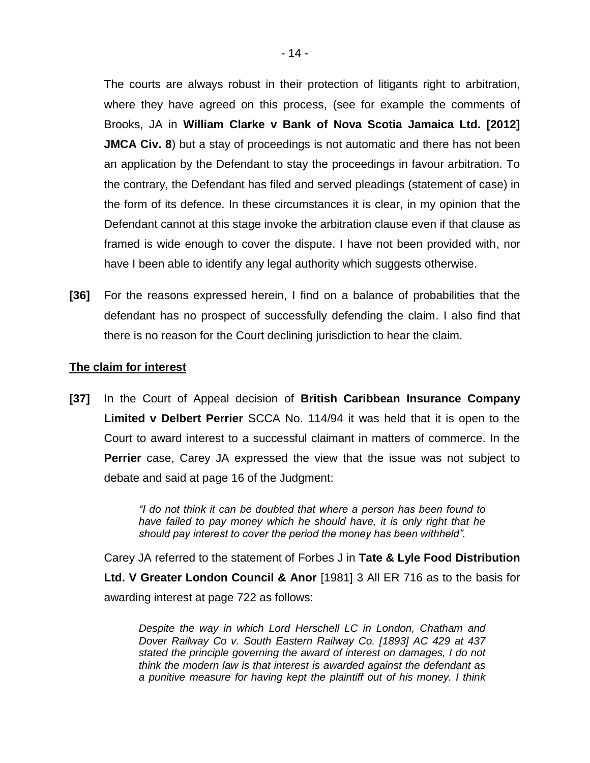The courts are always robust in their protection of litigants right to arbitration, where they have agreed on this process, (see for example the comments of Brooks, JA in **William Clarke v Bank of Nova Scotia Jamaica Ltd. [2012] JMCA Civ. 8**) but a stay of proceedings is not automatic and there has not been an application by the Defendant to stay the proceedings in favour arbitration. To the contrary, the Defendant has filed and served pleadings (statement of case) in the form of its defence. In these circumstances it is clear, in my opinion that the Defendant cannot at this stage invoke the arbitration clause even if that clause as framed is wide enough to cover the dispute. I have not been provided with, nor have I been able to identify any legal authority which suggests otherwise.

**[36]** For the reasons expressed herein, I find on a balance of probabilities that the defendant has no prospect of successfully defending the claim. I also find that there is no reason for the Court declining jurisdiction to hear the claim.

#### **The claim for interest**

**[37]** In the Court of Appeal decision of **British Caribbean Insurance Company Limited v Delbert Perrier** SCCA No. 114/94 it was held that it is open to the Court to award interest to a successful claimant in matters of commerce. In the **Perrier** case, Carey JA expressed the view that the issue was not subject to debate and said at page 16 of the Judgment:

> *"I do not think it can be doubted that where a person has been found to have failed to pay money which he should have, it is only right that he should pay interest to cover the period the money has been withheld".*

Carey JA referred to the statement of Forbes J in **Tate & Lyle Food Distribution Ltd. V Greater London Council & Anor** [1981] 3 All ER 716 as to the basis for awarding interest at page 722 as follows:

*Despite the way in which Lord Herschell LC in London, Chatham and Dover Railway Co v. South Eastern Railway Co. [1893] AC 429 at 437 stated the principle governing the award of interest on damages, I do not think the modern law is that interest is awarded against the defendant as a punitive measure for having kept the plaintiff out of his money. I think*